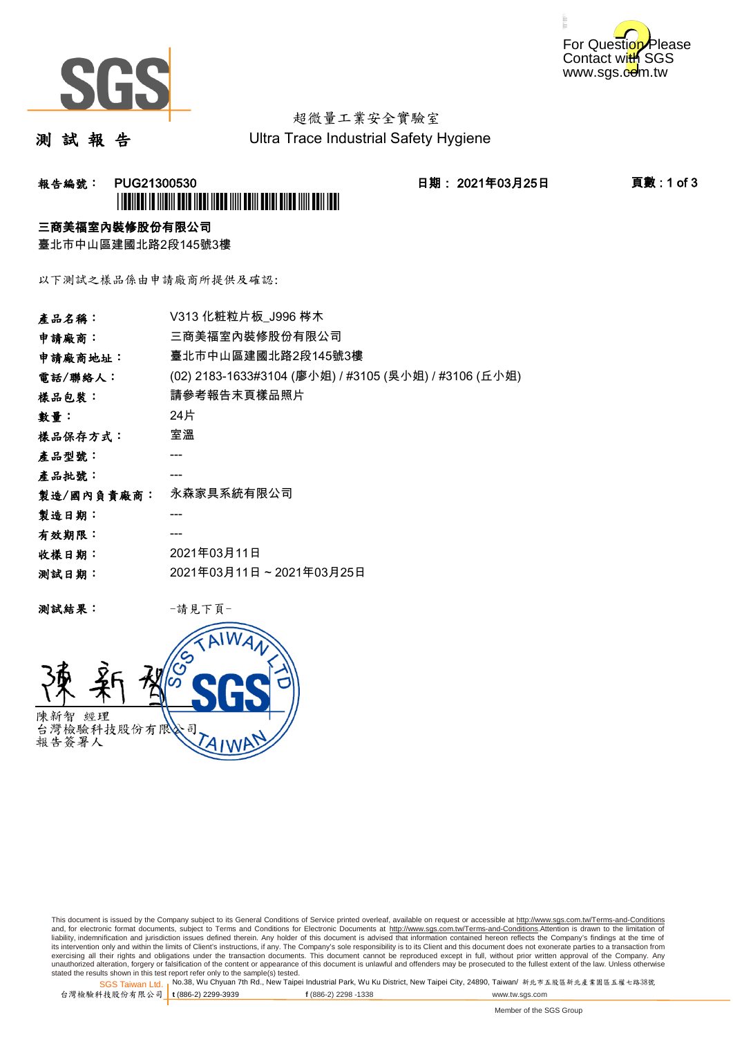



# 超微量工業安全實驗室

測 試 報 告

Ultra Trace Industrial Safety Hygiene

## **報告編號: PUG21300530 日期: 2021年03月25日 頁數:1 of 3** \*PUG21300530\*

### 三商美福室內裝修股份有限公司

臺北市中山區建國北路2段145號3樓

以下測試之樣品係由申請廠商所提供及確認:

| 產品名稱:      | V313 化粧粒片板 J996 梣木                                    |
|------------|-------------------------------------------------------|
| 申請廠商:      | 三商美福室內裝修股份有限公司                                        |
| 申請廠商地址:    | 臺北市中山區建國北路2段145號3樓                                    |
| 電話/聯絡人:    | (02) 2183-1633#3104 (廖小姐) / #3105 (吳小姐) / #3106 (丘小姐) |
| 樣品包裝:      | 請參考報告末頁樣品照片                                           |
| 數量:        | 24片                                                   |
| 樣品保存方式:    | 室溫                                                    |
| 產品型號:      |                                                       |
| 產品批號:      |                                                       |
| 製造/國內負責廠商: | 永森家具系統有限公司                                            |
| 製造日期:      |                                                       |
| 有效期限:      |                                                       |
| 收樣日期:      | 2021年03月11日                                           |
| 测試日期:      | 2021年03月11日~2021年03月25日                               |
|            |                                                       |

测試結果: 一請見下頁



This document is issued by the Company subject to its General Conditions of Service printed overleaf, available on request or accessible at http://www.sgs.com.tw/Terms-and-Conditions and, for electronic format documents, subject to Terms and Conditions for Electronic Documents at <u>http://www.sgs.com.tw/Terms-and-Conditions</u>.Attention is drawn to the limitation of<br>liability, indemnification and jurisdic exercising all their rights and obligations under the transaction documents. This document cannot be reproduced except in full, without prior written approval of the Company. Any<br>unauthorized alteration, forgery or falsifi

SGS Taiwan Ltd. 1 stated the results shown in this test report refer only to the sample(s) tested.<br>Stated the results shown in this test report refer only to the sample(s) tested.

台灣檢驗科技股份有限公司

**t** (886-2) 2299-3939 **f** (886-2) 2298 -1338 www.tw.sgs.com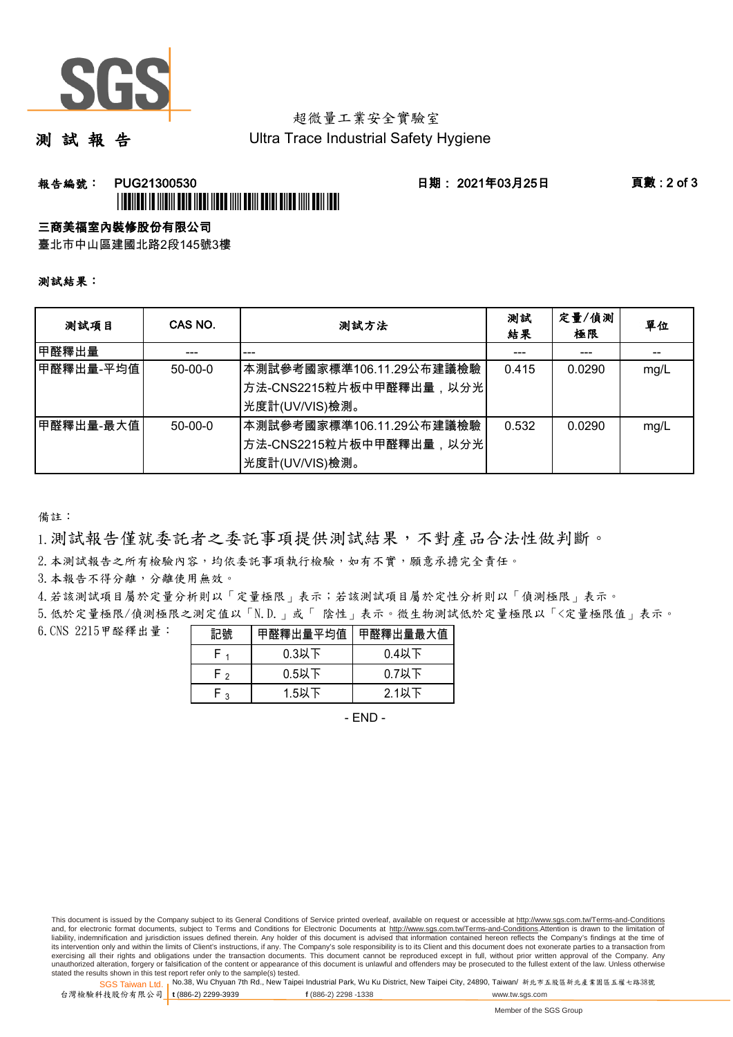

# 超微量工業安全實驗室

測 試 報 告

Ultra Trace Industrial Safety Hygiene

### **報告編號: PUG21300530 日期: 2021年03月25日 頁數:2 of 3** \*PUGE AND AN ANDER HELD AND A MALE AND DELIVERED AND DELLA DELLA DELLA DELLA DELLA DELLA DELLA DELLA DELLA DEL

### 三商美福室內裝修股份有限公司

臺北市中山區建國北路2段145號3樓

#### 測試結果:

| 测試項目        | CAS NO.   | 測試方法                                                                    | 測試<br>結果 | 定量/偵測<br>極限 | 單位   |
|-------------|-----------|-------------------------------------------------------------------------|----------|-------------|------|
| 甲醛釋出量       |           |                                                                         |          |             |      |
| 甲醛釋出量-平均值   | $50-00-0$ | 本測試參考國家標準106.11.29公布建議檢驗<br>│方法-CNS2215粒片板中甲醛釋出量,以分光│<br>先度計(UV/VIS)檢測。 | 0.415    | 0.0290      | mg/L |
| ┃甲醛釋出量-最大值│ | $50-00-0$ | 本測試參考國家標準106.11.29公布建議檢驗<br>│方法-CNS2215粒片板中甲醛釋出量,以分光│<br>光度計(UV/VIS)檢測。 | 0.532    | 0.0290      | mg/L |

備註:

1.測試報告僅就委託者之委託事項提供測試結果,不對產品合法性做判斷。

2.本測試報告之所有檢驗內容,均依委託事項執行檢驗,如有不實,願意承擔完全責任。

3. 本報告不得分離,分離使用無效。

4.若該測試項目屬於定量分析則以「定量極限」表示;若該測試項目屬於定性分析則以「偵測極限」表示。

5.低於定量極限/偵測極限之測定值以「N.D.」或「 陰性」表示。微生物測試低於定量極限以「<定量極限值」表示。

6.CNS 2215甲醛釋出量:

|    | 甲醛釋出量平均值 | 甲醛釋出量最大值 |
|----|----------|----------|
|    | $0.3$ 以下 | $0.4$ 以下 |
| г٥ | $0.5$ 以下 | $0.7$ 以下 |
| ◠  | $1.5$ 以下 | $2.1$ 以下 |

- END -

This document is issued by the Company subject to its General Conditions of Service printed overleaf, available on request or accessible at http://www.sgs.com.tw/Terms-and-Conditions and, for electronic format documents, subject to Terms and Conditions for Electronic Documents at http://www.sgs.com.tw/Terms-and-Conditions.Attention is drawn to the limitation of liability, indemnification and jurisdiction issues defined therein. Any holder of this document is advised that information contained hereon reflects the Company's findings at the time of<br>its intervention only and within t exercising all their rights and obligations under the transaction documents. This document cannot be reproduced except in full, without prior written approval of the Company. Any<br>unauthorized alteration, forgery or falsifi

SGS Taiwan Ltd. 1 stated the results shown in this test report refer only to the sample(s) tested.<br>Stated the results shown in this test report refer only to the sample(s) tested.

台灣檢驗科技股份有限公司

**t** (886-2) 2299-3939 **f** (886-2) 2298 -1338 www.tw.sgs.com